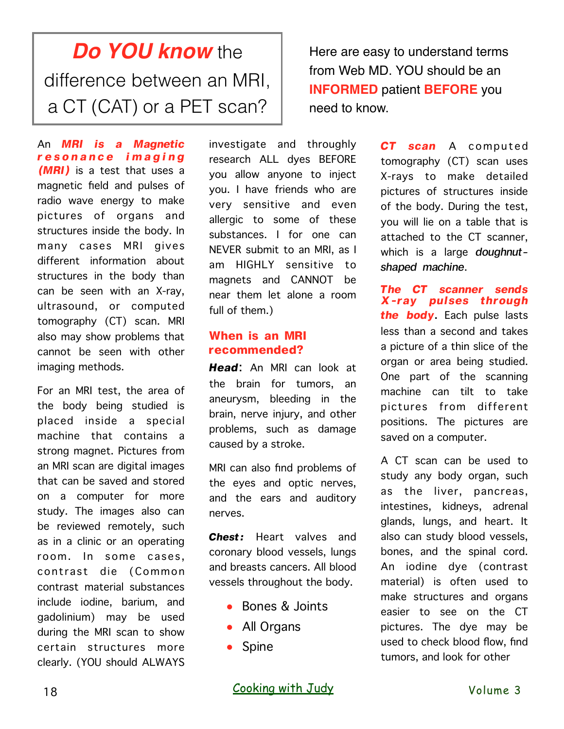## *Do YOU know* the difference between an MRI, a CT (CAT) or a PET scan?

An *MRI is a Magnetic r e s o n a n c e i m a g i n g (MRI)* is a test that uses a magnetic field and pulses of radio wave energy to make pictures of organs and structures inside the body. In many cases MRI gives different information about structures in the body than can be seen with an X-ray, ultrasound, or computed tomography (CT) scan. MRI also may show problems that cannot be seen with other imaging methods.

For an MRI test, the area of the body being studied is placed inside a special machine that contains a strong magnet. Pictures from an MRI scan are digital images that can be saved and stored on a computer for more study. The images also can be reviewed remotely, such as in a clinic or an operating room. In some cases, contrast die (Common contrast material substances include iodine, barium, and gadolinium) may be used during the MRI scan to show certain structures more clearly. (YOU should ALWAYS

investigate and throughly research ALL dyes BEFORE you allow anyone to inject you. I have friends who are very sensitive and even allergic to some of these substances. I for one can NEVER submit to an MRI, as I am HIGHLY sensitive to magnets and CANNOT be near them let alone a room full of them.)

## **When is an MRI recommended?**

*Head*: An MRI can look at the brain for tumors, an aneurysm, bleeding in the brain, nerve injury, and other problems, such as damage caused by a stroke.

MRI can also find problems of the eyes and optic nerves, and the ears and auditory nerves.

*Chest:* Heart valves and coronary blood vessels, lungs and breasts cancers. All blood vessels throughout the body.

- Bones & Joints
- All Organs
- Spine

Here are easy to understand terms from Web MD. YOU should be an **INFORMED** patient **BEFORE** you need to know.

> *CT scan* A computed tomography (CT) scan uses X-rays to make detailed pictures of structures inside of the body. During the test, you will lie on a table that is attached to the CT scanner, which is a large *doughnutshaped machine*.

> *The CT scanner sends X-ray pulses through the body*. Each pulse lasts less than a second and takes a picture of a thin slice of the organ or area being studied. One part of the scanning machine can tilt to take pictures from different positions. The pictures are saved on a computer.

> A CT scan can be used to study any body organ, such as the liver, pancreas, intestines, kidneys, adrenal glands, lungs, and heart. It also can study blood vessels, bones, and the spinal cord. An iodine dye (contrast material) is often used to make structures and organs easier to see on the CT pictures. The dye may be used to check blood flow, find tumors, and look for other